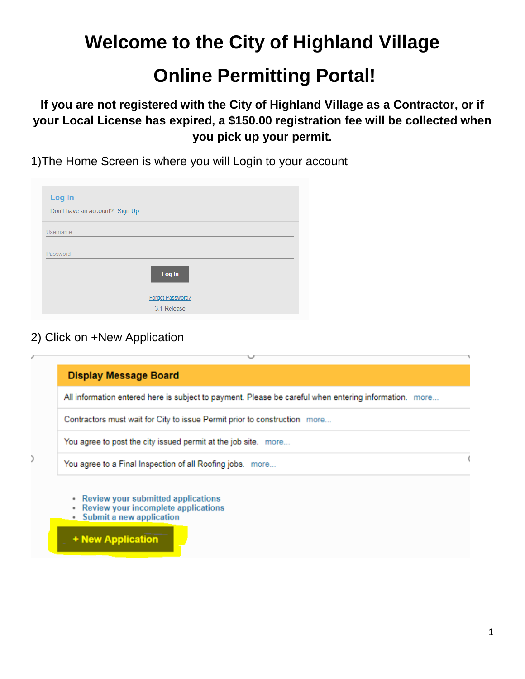**Welcome to the City of Highland Village**

## **Online Permitting Portal!**

**If you are not registered with the City of Highland Village as a Contractor, or if your Local License has expired, a \$150.00 registration fee will be collected when you pick up your permit.**

1)The Home Screen is where you will Login to your account

| Log In<br>Don't have an account? Sign Up |                  |
|------------------------------------------|------------------|
| Username                                 |                  |
| Password                                 |                  |
|                                          | Log In           |
|                                          | Forgot Password? |

2) Click on +New Application

| <b>Display Message Board</b>                                                                                                     |  |
|----------------------------------------------------------------------------------------------------------------------------------|--|
| All information entered here is subject to payment. Please be careful when entering information. more                            |  |
| Contractors must wait for City to issue Permit prior to construction more                                                        |  |
| You agree to post the city issued permit at the job site. more                                                                   |  |
| You agree to a Final Inspection of all Roofing jobs. more                                                                        |  |
| • Review your submitted applications<br>• Review your incomplete applications<br>• Submit a new application<br>+ New Application |  |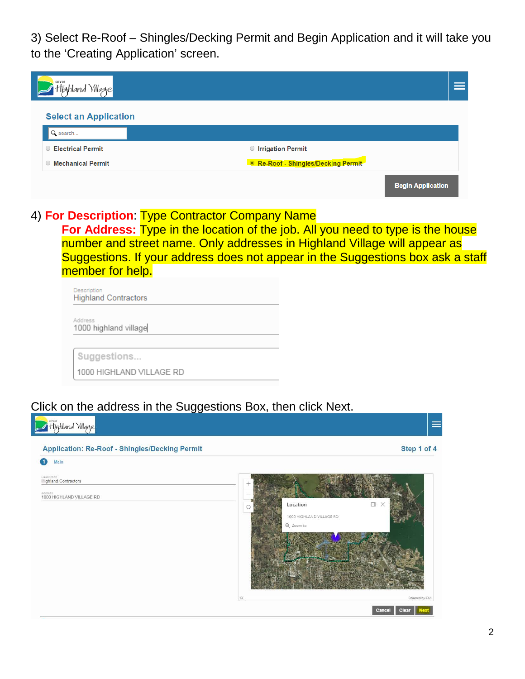3) Select Re-Roof – Shingles/Decking Permit and Begin Application and it will take you to the 'Creating Application' screen.

| CITY OF<br>Highland Village         |                                   |                          |
|-------------------------------------|-----------------------------------|--------------------------|
| <b>Select an Application</b>        |                                   |                          |
| Q search                            |                                   |                          |
| <b>Electrical Permit</b><br>$\circ$ | ◯ Irrigation Permit               |                          |
| <b>Mechanical Permit</b><br>$\circ$ | Re-Roof - Shingles/Decking Permit |                          |
|                                     |                                   | <b>Begin Application</b> |

## 4) **For Description**: Type Contractor Company Name

**For Address:** Type in the location of the job. All you need to type is the house number and street name. Only addresses in Highland Village will appear as Suggestions. If your address does not appear in the Suggestions box ask a staff member for help.

Description **Highland Contractors** 1000 highland village

Suggestions...

1000 HIGHLAND VILLAGE RD

## Click on the address in the Suggestions Box, then click Next.

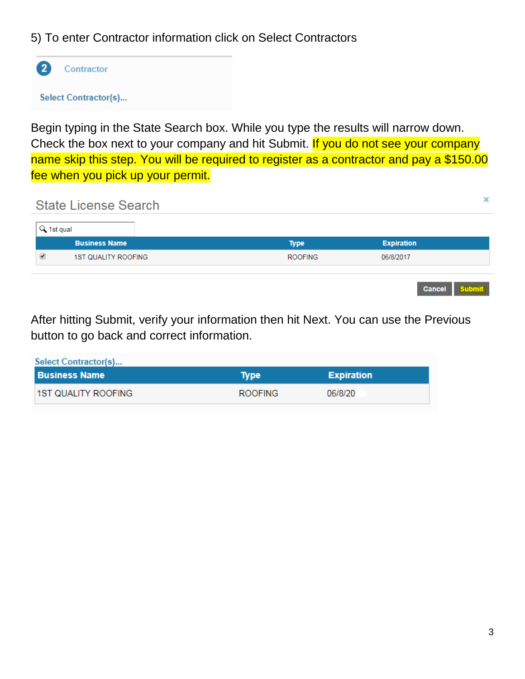## 5) To enter Contractor information click on Select Contractors



**Select Contractor(s)...** 

Begin typing in the State Search box. While you type the results will narrow down. Check the box next to your company and hit Submit. If you do not see your company name skip this step. You will be required to register as a contractor and pay a \$150.00 fee when you pick up your permit.

**State License Search** 

| Q 1st qual |                            |                |                                |
|------------|----------------------------|----------------|--------------------------------|
|            | <b>Business Name</b>       | <b>Type</b>    | <b>Expiration</b>              |
|            | <b>1ST QUALITY ROOFING</b> | <b>ROOFING</b> | 06/8/2017                      |
|            |                            |                |                                |
|            |                            |                | <b>Cancel</b><br><b>Submit</b> |

After hitting Submit, verify your information then hit Next. You can use the Previous button to go back and correct information.

| Select Contractor(s)       |                |                   |  |
|----------------------------|----------------|-------------------|--|
| <b>Business Name</b>       | Type           | <b>Expiration</b> |  |
| <b>1ST QUALITY ROOFING</b> | <b>ROOFING</b> | 06/8/20           |  |

×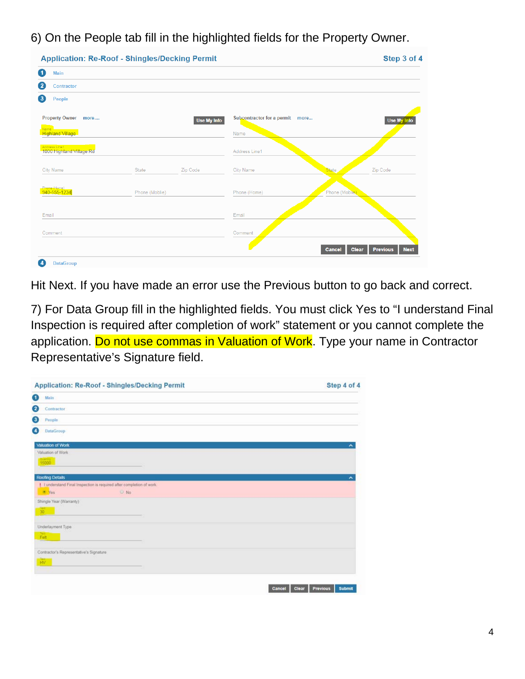6) On the People tab fill in the highlighted fields for the Property Owner.

|                |          |               |                | Use My Info                                     |
|----------------|----------|---------------|----------------|-------------------------------------------------|
|                |          | Name          |                |                                                 |
|                |          | Address Line1 |                |                                                 |
| State          | Zip Code | City Name     | <b>State</b>   | Zip Code                                        |
| Phone (Moblie) |          | Phone (Home)  | Phone (Moblie) |                                                 |
|                |          | Email         |                |                                                 |
|                |          | Comment       |                |                                                 |
|                |          |               | <b>Cancel</b>  | <b>Previous</b><br><b>Next</b>                  |
|                |          | Use My Info   |                | Subcontractor for a permit more<br><b>Clear</b> |

Hit Next. If you have made an error use the Previous button to go back and correct.

7) For Data Group fill in the highlighted fields. You must click Yes to "I understand Final Inspection is required after completion of work" statement or you cannot complete the application. Do not use commas in Valuation of Work. Type your name in Contractor Representative's Signature field.

| <b>Application: Re-Roof - Shingles/Decking Permit</b>                 | Step 4 of 4         |
|-----------------------------------------------------------------------|---------------------|
| 0<br>Main                                                             |                     |
| 2<br>Contractor                                                       |                     |
| 0<br>People                                                           |                     |
| ۵<br><b>DataGroup</b>                                                 |                     |
| <b>Valuation of Work</b>                                              | $\hat{\phantom{a}}$ |
| Valuation of Work                                                     |                     |
| 15000                                                                 |                     |
| <b>Roofing Details</b>                                                | $\hat{\phantom{a}}$ |
|                                                                       |                     |
| I I understand Final Inspection is required after completion of work. |                     |
| * Yes<br>$\cup$ No                                                    |                     |
| Shingle Year (Warranty)                                               |                     |
| 30 <sup>1</sup>                                                       |                     |
|                                                                       |                     |
| Underlayment Type                                                     |                     |
|                                                                       |                     |
|                                                                       |                     |
| Felt                                                                  |                     |
|                                                                       |                     |
| Contractor's Representative's Signature                               |                     |
|                                                                       |                     |
| $\frac{1}{100}$                                                       |                     |
|                                                                       |                     |
|                                                                       |                     |